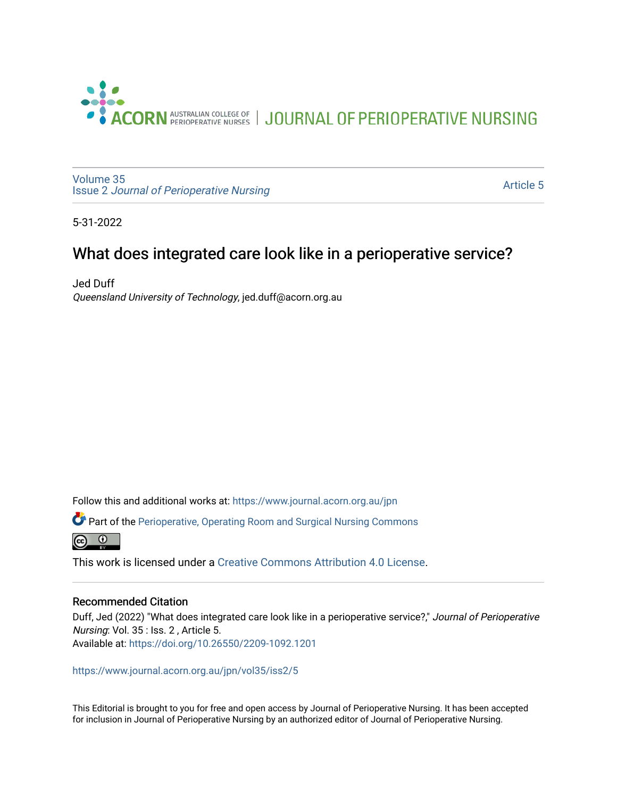

[Volume 35](https://www.journal.acorn.org.au/jpn/vol35) Issue 2 [Journal of Perioperative Nursing](https://www.journal.acorn.org.au/jpn/vol35/iss2)

[Article 5](https://www.journal.acorn.org.au/jpn/vol35/iss2/5) 

5-31-2022

## What does integrated care look like in a perioperative service?

Jed Duff Queensland University of Technology, jed.duff@acorn.org.au

Follow this and additional works at: [https://www.journal.acorn.org.au/jpn](https://www.journal.acorn.org.au/jpn?utm_source=www.journal.acorn.org.au%2Fjpn%2Fvol35%2Fiss2%2F5&utm_medium=PDF&utm_campaign=PDFCoverPages) 

Part of the [Perioperative, Operating Room and Surgical Nursing Commons](https://network.bepress.com/hgg/discipline/726?utm_source=www.journal.acorn.org.au%2Fjpn%2Fvol35%2Fiss2%2F5&utm_medium=PDF&utm_campaign=PDFCoverPages)



This work is licensed under a [Creative Commons Attribution 4.0 License](https://creativecommons.org/licenses/by/4.0/).

### Recommended Citation

Duff, Jed (2022) "What does integrated care look like in a perioperative service?," Journal of Perioperative Nursing: Vol. 35 : Iss. 2 , Article 5. Available at:<https://doi.org/10.26550/2209-1092.1201>

[https://www.journal.acorn.org.au/jpn/vol35/iss2/5](10.26550/2209-1092.1201?utm_source=www.journal.acorn.org.au%2Fjpn%2Fvol35%2Fiss2%2F5&utm_medium=PDF&utm_campaign=PDFCoverPages)

This Editorial is brought to you for free and open access by Journal of Perioperative Nursing. It has been accepted for inclusion in Journal of Perioperative Nursing by an authorized editor of Journal of Perioperative Nursing.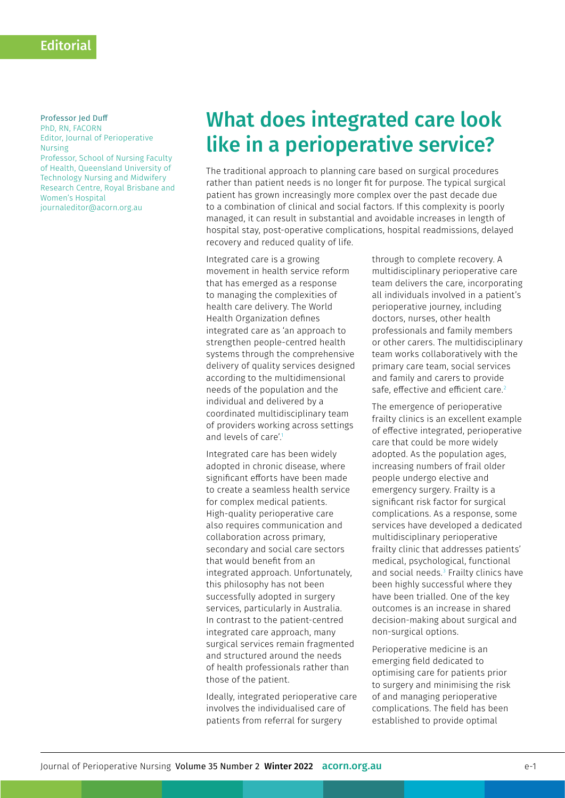#### Professor Jed Duff PhD, RN, FACORN

Editor, Journal of Perioperative Nursing Professor, School of Nursing Faculty of Health, Queensland University of Technology Nursing and Midwifery Research Centre, Royal Brisbane and Women's Hospital [journaleditor@acorn.org.au](mailto:journaleditor@acorn.org.au)

# What does integrated care look like in a perioperative service?

The traditional approach to planning care based on surgical procedures rather than patient needs is no longer fit for purpose. The typical surgical patient has grown increasingly more complex over the past decade due to a combination of clinical and social factors. If this complexity is poorly managed, it can result in substantial and avoidable increases in length of hospital stay, post-operative complications, hospital readmissions, delayed recovery and reduced quality of life.

Integrated care is a growing movement in health service reform that has emerged as a response to managing the complexities of health care delivery. The World Health Organization defines integrated care as 'an approach to strengthen people-centred health systems through the comprehensive delivery of quality services designed according to the multidimensional needs of the population and the individual and delivered by a coordinated multidisciplinary team of providers working across settings and levels of care'.<sup>1</sup>

Integrated care has been widely adopted in chronic disease, where significant efforts have been made to create a seamless health service for complex medical patients. High-quality perioperative care also requires communication and collaboration across primary, secondary and social care sectors that would benefit from an integrated approach. Unfortunately, this philosophy has not been successfully adopted in surgery services, particularly in Australia. In contrast to the patient-centred integrated care approach, many surgical services remain fragmented and structured around the needs of health professionals rather than those of the patient.

Ideally, integrated perioperative care involves the individualised care of patients from referral for surgery

through to complete recovery. A multidisciplinary perioperative care team delivers the care, incorporating all individuals involved in a patient's perioperative journey, including doctors, nurses, other health professionals and family members or other carers. The multidisciplinary team works collaboratively with the primary care team, social services and family and carers to provide safe, effective and efficient care.<sup>2</sup>

The emergence of perioperative frailty clinics is an excellent example of effective integrated, perioperative care that could be more widely adopted. As the population ages, increasing numbers of frail older people undergo elective and emergency surgery. Frailty is a significant risk factor for surgical complications. As a response, some services have developed a dedicated multidisciplinary perioperative frailty clinic that addresses patients' medical, psychological, functional and social needs.3 Frailty clinics have been highly successful where they have been trialled. One of the key outcomes is an increase in shared decision-making about surgical and non-surgical options.

Perioperative medicine is an emerging field dedicated to optimising care for patients prior to surgery and minimising the risk of and managing perioperative complications. The field has been established to provide optimal